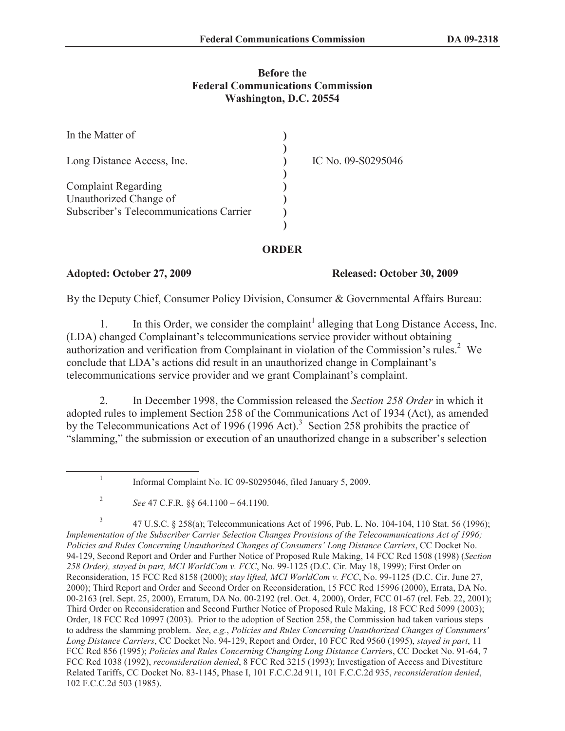## **Before the Federal Communications Commission Washington, D.C. 20554**

| In the Matter of                                                  |                    |  |
|-------------------------------------------------------------------|--------------------|--|
| Long Distance Access, Inc.                                        | IC No. 09-S0295046 |  |
| <b>Complaint Regarding</b>                                        |                    |  |
| Unauthorized Change of<br>Subscriber's Telecommunications Carrier |                    |  |
|                                                                   |                    |  |

## **ORDER**

**Adopted: October 27, 2009 Released: October 30, 2009**

By the Deputy Chief, Consumer Policy Division, Consumer & Governmental Affairs Bureau:

1. In this Order, we consider the complaint<sup>1</sup> alleging that Long Distance Access, Inc. (LDA) changed Complainant's telecommunications service provider without obtaining authorization and verification from Complainant in violation of the Commission's rules.<sup>2</sup> We conclude that LDA's actions did result in an unauthorized change in Complainant's telecommunications service provider and we grant Complainant's complaint.

2. In December 1998, the Commission released the *Section 258 Order* in which it adopted rules to implement Section 258 of the Communications Act of 1934 (Act), as amended by the Telecommunications Act of 1996 (1996 Act).<sup>3</sup> Section 258 prohibits the practice of "slamming," the submission or execution of an unauthorized change in a subscriber's selection

1 Informal Complaint No. IC 09-S0295046, filed January 5, 2009.

3 47 U.S.C. § 258(a); Telecommunications Act of 1996, Pub. L. No. 104-104, 110 Stat. 56 (1996); *Implementation of the Subscriber Carrier Selection Changes Provisions of the Telecommunications Act of 1996; Policies and Rules Concerning Unauthorized Changes of Consumers' Long Distance Carriers*, CC Docket No. 94-129, Second Report and Order and Further Notice of Proposed Rule Making, 14 FCC Rcd 1508 (1998) (*Section 258 Order), stayed in part, MCI WorldCom v. FCC*, No. 99-1125 (D.C. Cir. May 18, 1999); First Order on Reconsideration, 15 FCC Rcd 8158 (2000); *stay lifted, MCI WorldCom v. FCC*, No. 99-1125 (D.C. Cir. June 27, 2000); Third Report and Order and Second Order on Reconsideration, 15 FCC Rcd 15996 (2000), Errata, DA No. 00-2163 (rel. Sept. 25, 2000), Erratum, DA No. 00-2192 (rel. Oct. 4, 2000), Order, FCC 01-67 (rel. Feb. 22, 2001); Third Order on Reconsideration and Second Further Notice of Proposed Rule Making, 18 FCC Rcd 5099 (2003); Order, 18 FCC Rcd 10997 (2003). Prior to the adoption of Section 258, the Commission had taken various steps to address the slamming problem. *See*, *e.g.*, *Policies and Rules Concerning Unauthorized Changes of Consumers' Long Distance Carriers*, CC Docket No. 94-129, Report and Order, 10 FCC Rcd 9560 (1995), *stayed in part*, 11 FCC Rcd 856 (1995); *Policies and Rules Concerning Changing Long Distance Carrier*s, CC Docket No. 91-64, 7 FCC Rcd 1038 (1992), *reconsideration denied*, 8 FCC Rcd 3215 (1993); Investigation of Access and Divestiture Related Tariffs, CC Docket No. 83-1145, Phase I, 101 F.C.C.2d 911, 101 F.C.C.2d 935, *reconsideration denied*, 102 F.C.C.2d 503 (1985).

<sup>2</sup> *See* 47 C.F.R. §§ 64.1100 – 64.1190.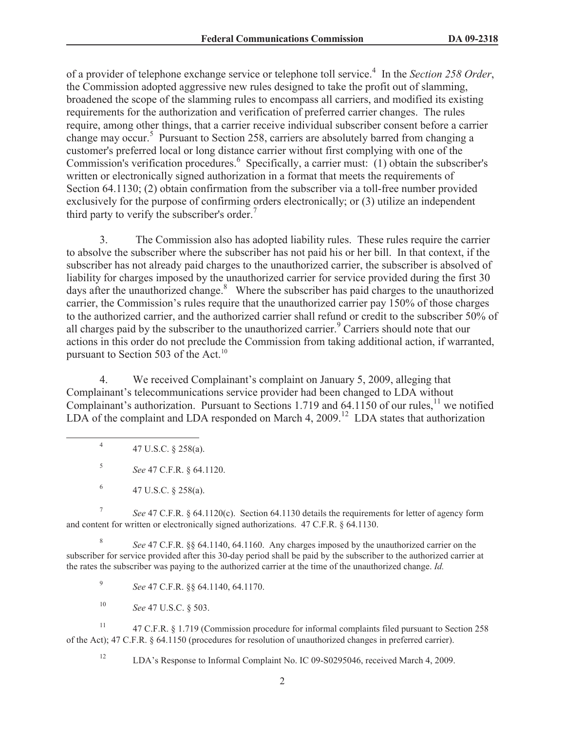of a provider of telephone exchange service or telephone toll service.<sup>4</sup> In the *Section 258 Order*, the Commission adopted aggressive new rules designed to take the profit out of slamming, broadened the scope of the slamming rules to encompass all carriers, and modified its existing requirements for the authorization and verification of preferred carrier changes. The rules require, among other things, that a carrier receive individual subscriber consent before a carrier change may occur.<sup>5</sup> Pursuant to Section 258, carriers are absolutely barred from changing a customer's preferred local or long distance carrier without first complying with one of the Commission's verification procedures.<sup>6</sup> Specifically, a carrier must: (1) obtain the subscriber's written or electronically signed authorization in a format that meets the requirements of Section 64.1130; (2) obtain confirmation from the subscriber via a toll-free number provided exclusively for the purpose of confirming orders electronically; or (3) utilize an independent third party to verify the subscriber's order.<sup>7</sup>

3. The Commission also has adopted liability rules. These rules require the carrier to absolve the subscriber where the subscriber has not paid his or her bill. In that context, if the subscriber has not already paid charges to the unauthorized carrier, the subscriber is absolved of liability for charges imposed by the unauthorized carrier for service provided during the first 30 days after the unauthorized change.<sup>8</sup> Where the subscriber has paid charges to the unauthorized carrier, the Commission's rules require that the unauthorized carrier pay 150% of those charges to the authorized carrier, and the authorized carrier shall refund or credit to the subscriber 50% of all charges paid by the subscriber to the unauthorized carrier.<sup>9</sup> Carriers should note that our actions in this order do not preclude the Commission from taking additional action, if warranted, pursuant to Section 503 of the Act.<sup>10</sup>

4. We received Complainant's complaint on January 5, 2009, alleging that Complainant's telecommunications service provider had been changed to LDA without Complainant's authorization. Pursuant to Sections 1.719 and 64.1150 of our rules, $^{11}$  we notified LDA of the complaint and LDA responded on March 4, 2009.<sup>12</sup> LDA states that authorization

4 47 U.S.C. § 258(a).

5 *See* 47 C.F.R. § 64.1120.

6 47 U.S.C. § 258(a).

7 *See* 47 C.F.R. § 64.1120(c). Section 64.1130 details the requirements for letter of agency form and content for written or electronically signed authorizations. 47 C.F.R. § 64.1130.

8 *See* 47 C.F.R. §§ 64.1140, 64.1160. Any charges imposed by the unauthorized carrier on the subscriber for service provided after this 30-day period shall be paid by the subscriber to the authorized carrier at the rates the subscriber was paying to the authorized carrier at the time of the unauthorized change. *Id.*

9 *See* 47 C.F.R. §§ 64.1140, 64.1170.

<sup>10</sup> *See* 47 U.S.C. § 503.

<sup>11</sup> 47 C.F.R. § 1.719 (Commission procedure for informal complaints filed pursuant to Section 258 of the Act); 47 C.F.R. § 64.1150 (procedures for resolution of unauthorized changes in preferred carrier).

<sup>12</sup> LDA's Response to Informal Complaint No. IC 09-S0295046, received March 4, 2009.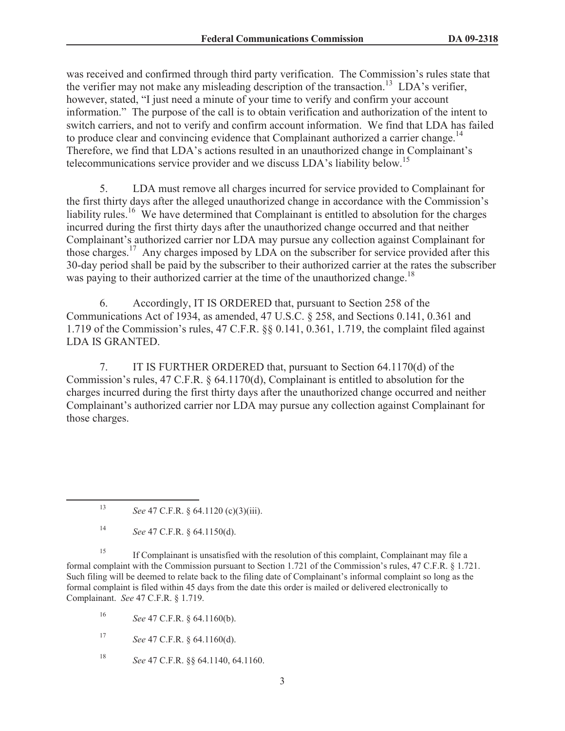was received and confirmed through third party verification. The Commission's rules state that the verifier may not make any misleading description of the transaction.<sup>13</sup> LDA's verifier, however, stated, "I just need a minute of your time to verify and confirm your account information." The purpose of the call is to obtain verification and authorization of the intent to switch carriers, and not to verify and confirm account information. We find that LDA has failed to produce clear and convincing evidence that Complainant authorized a carrier change.<sup>14</sup> Therefore, we find that LDA's actions resulted in an unauthorized change in Complainant's telecommunications service provider and we discuss LDA's liability below.<sup>15</sup>

5. LDA must remove all charges incurred for service provided to Complainant for the first thirty days after the alleged unauthorized change in accordance with the Commission's liability rules.<sup>16</sup> We have determined that Complainant is entitled to absolution for the charges incurred during the first thirty days after the unauthorized change occurred and that neither Complainant's authorized carrier nor LDA may pursue any collection against Complainant for those charges.<sup>17</sup> Any charges imposed by LDA on the subscriber for service provided after this 30-day period shall be paid by the subscriber to their authorized carrier at the rates the subscriber was paying to their authorized carrier at the time of the unauthorized change.<sup>18</sup>

6. Accordingly, IT IS ORDERED that, pursuant to Section 258 of the Communications Act of 1934, as amended, 47 U.S.C. § 258, and Sections 0.141, 0.361 and 1.719 of the Commission's rules, 47 C.F.R. §§ 0.141, 0.361, 1.719, the complaint filed against LDA IS GRANTED.

7. IT IS FURTHER ORDERED that, pursuant to Section 64.1170(d) of the Commission's rules, 47 C.F.R. § 64.1170(d), Complainant is entitled to absolution for the charges incurred during the first thirty days after the unauthorized change occurred and neither Complainant's authorized carrier nor LDA may pursue any collection against Complainant for those charges.

<sup>15</sup> If Complainant is unsatisfied with the resolution of this complaint, Complainant may file a formal complaint with the Commission pursuant to Section 1.721 of the Commission's rules, 47 C.F.R. § 1.721. Such filing will be deemed to relate back to the filing date of Complainant's informal complaint so long as the formal complaint is filed within 45 days from the date this order is mailed or delivered electronically to Complainant. *See* 47 C.F.R. § 1.719.

<sup>16</sup> *See* 47 C.F.R. § 64.1160(b).

<sup>17</sup> *See* 47 C.F.R. § 64.1160(d).

<sup>18</sup> *See* 47 C.F.R. §§ 64.1140, 64.1160.

<sup>13</sup> *See* 47 C.F.R. § 64.1120 (c)(3)(iii).

<sup>14</sup> *See* 47 C.F.R. § 64.1150(d).